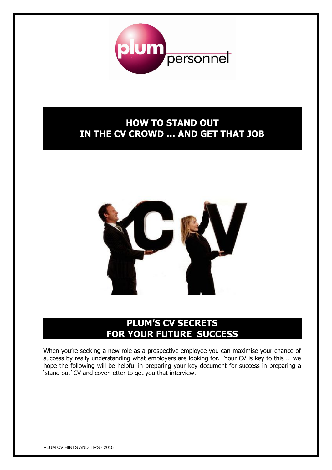

# **HOW TO STAND OUT IN THE CV CROWD … AND GET THAT JOB**



# **PLUM'S CV SECRETS FOR YOUR FUTURE SUCCESS**

When you're seeking a new role as a prospective employee you can maximise your chance of success by really understanding what employers are looking for. Your CV is key to this … we hope the following will be helpful in preparing your key document for success in preparing a 'stand out' CV and cover letter to get you that interview.

PLUM CV HINTS AND TIPS - 2015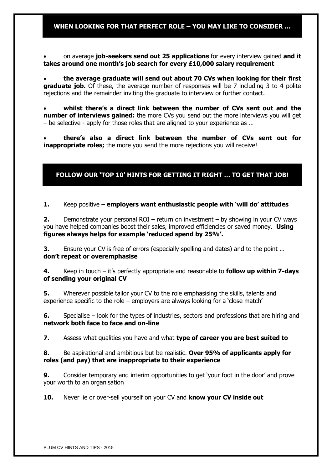## **WHEN LOOKING FOR THAT PERFECT ROLE – YOU MAY LIKE TO CONSIDER …**

 on average **job-seekers send out 25 applications** for every interview gained **and it takes around one month's job search for every £10,000 salary requirement**

 **the average graduate will send out about 70 CVs when looking for their first graduate job.** Of these, the average number of responses will be 7 including 3 to 4 polite rejections and the remainder inviting the graduate to interview or further contact.

 **whilst there's a direct link between the number of CVs sent out and the number of interviews gained:** the more CVs you send out the more interviews you will get – be selective - apply for those roles that are aligned to your experience as …

 **there's also a direct link between the number of CVs sent out for inappropriate roles;** the more you send the more rejections you will receive!

## **FOLLOW OUR 'TOP 10' HINTS FOR GETTING IT RIGHT … TO GET THAT JOB!**

**1.** Keep positive – **employers want enthusiastic people with 'will do' attitudes**

**2.** Demonstrate your personal ROI – return on investment – by showing in your CV ways you have helped companies boost their sales, improved efficiencies or saved money. **Using figures always helps for example 'reduced spend by 25%'.**

**3.** Ensure your CV is free of errors (especially spelling and dates) and to the point … **don't repeat or overemphasise**

**4.** Keep in touch – it's perfectly appropriate and reasonable to **follow up within 7-days of sending your original CV**

**5.** Wherever possible tailor your CV to the role emphasising the skills, talents and experience specific to the role – employers are always looking for a 'close match'

**6.** Specialise – look for the types of industries, sectors and professions that are hiring and **network both face to face and on-line**

**7.** Assess what qualities you have and what **type of career you are best suited to**

### **8.** Be aspirational and ambitious but be realistic. **Over 95% of applicants apply for roles (and pay) that are inappropriate to their experience**

**9.** Consider temporary and interim opportunities to get 'your foot in the door' and prove your worth to an organisation

**10.** Never lie or over-sell yourself on your CV and **know your CV inside out**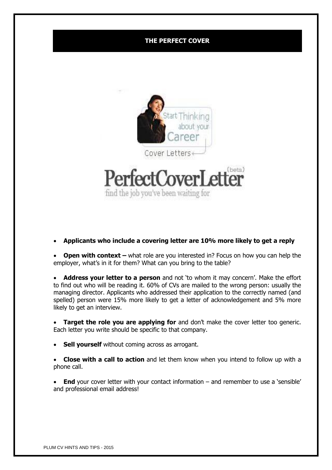## **THE PERFECT COVER**



**Applicants who include a covering letter are 10% more likely to get a reply**

**Open with context** – what role are you interested in? Focus on how you can help the employer, what's in it for them? What can you bring to the table?

 **Address your letter to a person** and not 'to whom it may concern'. Make the effort to find out who will be reading it. 60% of CVs are mailed to the wrong person: usually the managing director. Applicants who addressed their application to the correctly named (and spelled) person were 15% more likely to get a letter of acknowledgement and 5% more likely to get an interview.

**Target the role you are applying for** and don't make the cover letter too generic. Each letter you write should be specific to that company.

**Sell yourself** without coming across as arrogant.

 **Close with a call to action** and let them know when you intend to follow up with a phone call.

 **End** your cover letter with your contact information – and remember to use a 'sensible' and professional email address!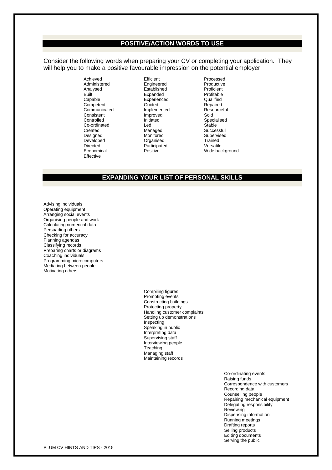#### **POSITIVE/ACTION WORDS TO USE**

Consider the following words when preparing your CV or completing your application. They will help you to make a positive favourable impression on the potential employer.

> Achieved **Efficient** Efficient **Processed** Administered Engineered **Engineered** Productive<br>
> Analysed **Established** Proficient Analysed Established Proficient Capable **Experienced** Capable **Capable** Capable Competent Cuided Repaired<br>
> Communicated Implemented Resourceful Communicated Consistent Improved Sold Controlled Initiated Specialised Co-ordinated Led<br>Created Managed Designed Monitored Supervised Developed Crganised Trained<br>
> Directed Participated Versatile Directed Participated<br>
> Positive Positive<br>
> Positive **Effective**

Expanded

Successful Wide background

## **EXPANDING YOUR LIST OF PERSONAL SKILLS**

Advising individuals Operating equipment Arranging social events Organising people and work Calculating numerical data Persuading others Checking for accuracy Planning agendas Classifying records Preparing charts or diagrams Coaching individuals Programming microcomputers Mediating between people Motivating others

> Compiling figures Promoting events Constructing buildings Protecting property Handling customer complaints Setting up demonstrations Inspecting Speaking in public Interpreting data Supervising staff Interviewing people **Teaching** Managing staff Maintaining records

> > Co-ordinating events Raising funds Correspondence with customers Recording data Counselling people Repairing mechanical equipment Delegating responsibility Reviewing Dispensing information Running meetings Drafting reports Selling products Editing documents Serving the public

PLUM CV HINTS AND TIPS - 2015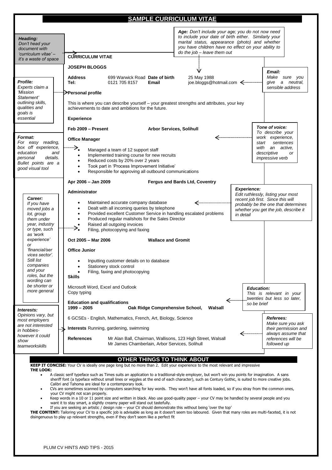|                                                                                                                                                                                                                                                          | <b>SAMPLE CURRICULUM VITAE</b>                                                                                                                                                                                                                                                                                                                                                                                                                                                                                                                                                                                                                                                                                                                                                                                                            |
|----------------------------------------------------------------------------------------------------------------------------------------------------------------------------------------------------------------------------------------------------------|-------------------------------------------------------------------------------------------------------------------------------------------------------------------------------------------------------------------------------------------------------------------------------------------------------------------------------------------------------------------------------------------------------------------------------------------------------------------------------------------------------------------------------------------------------------------------------------------------------------------------------------------------------------------------------------------------------------------------------------------------------------------------------------------------------------------------------------------|
| Heading:<br>Don't head your<br>document with<br>'curriculum vitae' –<br>it's a waste of space                                                                                                                                                            | Age: Don't include your age; you do not now need<br>to include your date of birth either. Similarly your<br>marital status, appearance (photo) and whether<br>you have children have no effect on your ability to<br>do the job - leave them out<br><b>CÚRRICULUM VITAE</b>                                                                                                                                                                                                                                                                                                                                                                                                                                                                                                                                                               |
| Profile:<br>Experts claim a<br>'Mission<br>Statement'<br>outlining skills,<br>qualities and<br>goals is<br>essential                                                                                                                                     | <b>JOSEPH BLOGGS</b><br>V<br>Email:<br>Make sure you<br>25 May 1988<br><b>Address</b><br>699 Warwick Road Date of birth<br>give a neutral,<br>Tel:<br>0121 705 8157<br>Email<br>sensible address<br><sup>……</sup> ;≫Personal profile<br>This is where you can describe yourself – your greatest strengths and attributes, your key<br>achievements to date and ambitions for the future.<br><b>Experience</b>                                                                                                                                                                                                                                                                                                                                                                                                                             |
| <b>Format:</b><br>For easy reading,<br>box off experience,<br>and<br>education<br>details.<br>personal<br>Bullet points are a<br>good visual tool                                                                                                        | Tone of voice:<br><b>Arbor Services, Solihull</b><br>Feb 2009 - Present<br>To describe your<br><─────────────────<br>work experience,<br><b>Office Manager</b><br>sentences<br>start<br>$\Longrightarrow$<br>with<br>an active,<br>Managed a team of 12 support staff<br>descriptive<br>or<br>Implemented training course for new recruits<br>$\bullet$<br>impressive verb<br>Reduced costs by 20% over 2 years<br>$\bullet$<br>Took part in 'Process Improvement Initiative'<br>$\bullet$<br>Responsible for approving all outbound communications                                                                                                                                                                                                                                                                                       |
| Career:<br>If you have<br>moved jobs a<br>lot, group<br>them under<br>year, industry<br>or type, such<br>as 'work<br>experience'<br><b>or</b><br>financial/ser<br>vices sector'.<br>Still list<br>companies<br>and your<br>roles, but the<br>wording can | Apr 2006 - Jan 2009<br>Fergus and Bards Ltd, Coventry<br><b>Experience:</b><br>Administrator<br>Edit ruthlessly, listing your most<br>recent job first. Since this will<br>Maintained accurate company database<br>≪………………………<br>٠<br>probably be the one that determines<br>Dealt with all incoming queries by telephone<br>$\bullet$<br>whether you get the job, describe it<br>Provided excellent Customer Service in handling escalated problems<br>$\bullet$<br>in detail<br>Produced regular mailshots for the Sales Director<br>$\bullet$<br>Raised all outgoing invoices<br>$\bullet$<br>Filing, photocopying and faxing<br>Oct 2005 - Mar 2006<br><b>Wallace and Gromit</b><br><b>Office Junior</b><br>Inputting customer details on to database<br>Stationery stock control<br>Filing, faxing and photocopying<br><b>Skills</b> |
| be shorter or<br>more general<br>Interests:<br>Opinions vary, but<br>most employers<br>are not interested<br>in hobbies-<br>however it could<br>show<br>teamworkskills                                                                                   | Microsoft Word, Excel and Outlook<br><b>Education:</b><br>Copy typing<br>This is relevant in your<br>twenties but less so later,<br><b>Education and qualifications</b><br>so be brief<br>1999 - 2005<br>Oak Ridge Comprehensive School,<br>Walsall<br>Referees:<br>6 GCSEs - English, Mathematics, French, Art, Biology, Science<br>Make sure you ask<br>Interests Running, gardening, swimming<br>their permission and<br><br>always assume that<br><b>References</b><br>Mr Alan Ball, Chairman, Wallisons, 123 High Street, Walsall<br>references will be<br>Mr James Chamberlain, Arbor Services, Solihull<br>followed up                                                                                                                                                                                                             |

#### **OTHER THINGS TO THINK ABOUT**

**KEEP IT CONCISE:** Your CV is ideally one page long but no more than 2. Edit your experience to the most relevant and impressive **THE LOOK:** 

- A classic serif typeface such as Times suits an application to a traditional-style employer, but won't win you points for imagination. A sans sheriff font (a typeface without small lines or wiggles at the end of each character), such as Century Gothic, is suited to more creative jobs. Calibri and Tahoma are ideal for a contemporary look.
- CVs are sometimes scanned by computers searching for key words. They won't have all fonts loaded, so if you stray from the common ones, your CV might not scan properly.
- Keep words in a 10 or 11 point size and written in black. Also use good-quality paper your CV may be handled by several people and you want it to stay smart, a slightly creamy paper will stand out tastefully.
- If you are seeking an artistic / design role your CV should demonstrate this without being 'over the top'

**THE CONTENT:** Tailoring your CV to a specific job is advisable as long as it doesn't seem too laboured. Given that many roles are multi-faceted, it is not disingenuous to play up relevant strengths, even if they don't seem like a perfect fit